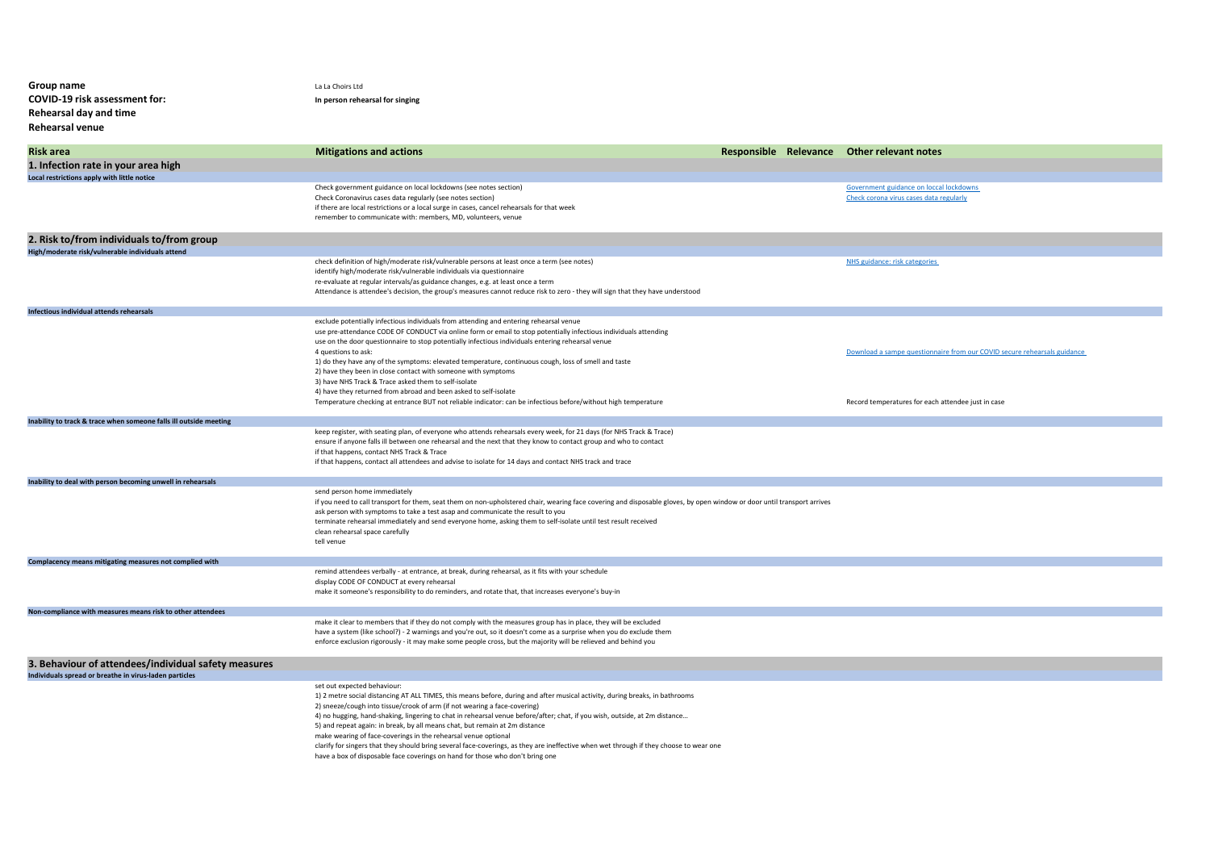| Group name                                                        | La La Choirs Ltd                                                                                                                                                                                                                       |  |                                                                                    |
|-------------------------------------------------------------------|----------------------------------------------------------------------------------------------------------------------------------------------------------------------------------------------------------------------------------------|--|------------------------------------------------------------------------------------|
| COVID-19 risk assessment for:<br>Rehearsal day and time           | In person rehearsal for singing                                                                                                                                                                                                        |  |                                                                                    |
| <b>Rehearsal venue</b>                                            |                                                                                                                                                                                                                                        |  |                                                                                    |
|                                                                   |                                                                                                                                                                                                                                        |  |                                                                                    |
| <b>Risk area</b><br>1. Infection rate in your area high           | <b>Mitigations and actions</b>                                                                                                                                                                                                         |  | Responsible Relevance Other relevant notes                                         |
| Local restrictions apply with little notice                       |                                                                                                                                                                                                                                        |  |                                                                                    |
|                                                                   | Check government guidance on local lockdowns (see notes section)<br>Check Coronavirus cases data regularly (see notes section)                                                                                                         |  | Government guidance on loccal lockdowns<br>Check corona virus cases data regularly |
|                                                                   | if there are local restrictions or a local surge in cases, cancel rehearsals for that week                                                                                                                                             |  |                                                                                    |
|                                                                   | remember to communicate with: members, MD, volunteers, venue                                                                                                                                                                           |  |                                                                                    |
| 2. Risk to/from individuals to/from group                         |                                                                                                                                                                                                                                        |  |                                                                                    |
| High/moderate risk/vulnerable individuals attend                  | check definition of high/moderate risk/vulnerable persons at least once a term (see notes)                                                                                                                                             |  | NHS guidance: risk categories                                                      |
|                                                                   | identify high/moderate risk/vulnerable individuals via questionnaire                                                                                                                                                                   |  |                                                                                    |
|                                                                   | re-evaluate at regular intervals/as guidance changes, e.g. at least once a term<br>Attendance is attendee's decision, the group's measures cannot reduce risk to zero - they will sign that they have understood                       |  |                                                                                    |
|                                                                   |                                                                                                                                                                                                                                        |  |                                                                                    |
| Infectious individual attends rehearsals                          | exclude potentially infectious individuals from attending and entering rehearsal venue                                                                                                                                                 |  |                                                                                    |
|                                                                   | use pre-attendance CODE OF CONDUCT via online form or email to stop potentially infectious individuals attending                                                                                                                       |  |                                                                                    |
|                                                                   | use on the door questionnaire to stop potentially infectious individuals entering rehearsal venue<br>4 questions to ask:                                                                                                               |  | Download a sampe questionnaire from our COVID secure rehearsals guidance           |
|                                                                   | 1) do they have any of the symptoms: elevated temperature, continuous cough, loss of smell and taste                                                                                                                                   |  |                                                                                    |
|                                                                   | 2) have they been in close contact with someone with symptoms<br>3) have NHS Track & Trace asked them to self-isolate                                                                                                                  |  |                                                                                    |
|                                                                   | 4) have they returned from abroad and been asked to self-isolate                                                                                                                                                                       |  |                                                                                    |
|                                                                   | Temperature checking at entrance BUT not reliable indicator: can be infectious before/without high temperature                                                                                                                         |  | Record temperatures for each attendee just in case                                 |
| Inability to track & trace when someone falls ill outside meeting | keep register, with seating plan, of everyone who attends rehearsals every week, for 21 days (for NHS Track & Trace)                                                                                                                   |  |                                                                                    |
|                                                                   | ensure if anyone falls ill between one rehearsal and the next that they know to contact group and who to contact                                                                                                                       |  |                                                                                    |
|                                                                   | if that happens, contact NHS Track & Trace<br>if that happens, contact all attendees and advise to isolate for 14 days and contact NHS track and trace                                                                                 |  |                                                                                    |
|                                                                   |                                                                                                                                                                                                                                        |  |                                                                                    |
| Inability to deal with person becoming unwell in rehearsals       | send person home immediately                                                                                                                                                                                                           |  |                                                                                    |
|                                                                   | if you need to call transport for them, seat them on non-upholstered chair, wearing face covering and disposable gloves, by open window or door until transport arrives                                                                |  |                                                                                    |
|                                                                   | ask person with symptoms to take a test asap and communicate the result to you<br>terminate rehearsal immediately and send everyone home, asking them to self-isolate until test result received                                       |  |                                                                                    |
|                                                                   | clean rehearsal space carefully                                                                                                                                                                                                        |  |                                                                                    |
|                                                                   | tell venue                                                                                                                                                                                                                             |  |                                                                                    |
| Complacency means mitigating measures not complied with           | remind attendees verbally - at entrance, at break, during rehearsal, as it fits with your schedule                                                                                                                                     |  |                                                                                    |
|                                                                   | display CODE OF CONDUCT at every rehearsal                                                                                                                                                                                             |  |                                                                                    |
|                                                                   | make it someone's responsibility to do reminders, and rotate that, that increases everyone's buy-in                                                                                                                                    |  |                                                                                    |
| Non-compliance with measures means risk to other attendees        |                                                                                                                                                                                                                                        |  |                                                                                    |
|                                                                   | make it clear to members that if they do not comply with the measures group has in place, they will be excluded<br>have a system (like school?) - 2 warnings and you're out, so it doesn't come as a surprise when you do exclude them |  |                                                                                    |
|                                                                   | enforce exclusion rigorously - it may make some people cross, but the majority will be relieved and behind you                                                                                                                         |  |                                                                                    |
| 3. Behaviour of attendees/individual safety measures              |                                                                                                                                                                                                                                        |  |                                                                                    |
| Individuals spread or breathe in virus-laden particles            |                                                                                                                                                                                                                                        |  |                                                                                    |
|                                                                   | set out expected behaviour:<br>1) 2 metre social distancing AT ALL TIMES, this means before, during and after musical activity, during breaks, in bathrooms                                                                            |  |                                                                                    |
|                                                                   | 2) sneeze/cough into tissue/crook of arm (if not wearing a face-covering)                                                                                                                                                              |  |                                                                                    |
|                                                                   | 4) no hugging, hand-shaking, lingering to chat in rehearsal venue before/after; chat, if you wish, outside, at 2m distance<br>5) and repeat again: in break, by all means chat, but remain at 2m distance                              |  |                                                                                    |
|                                                                   | make wearing of face-coverings in the rehearsal venue optional                                                                                                                                                                         |  |                                                                                    |
|                                                                   | clarify for singers that they should bring several face-coverings, as they are ineffective when wet through if they choose to wear one<br>have a box of disposable face coverings on hand for those who don't bring one                |  |                                                                                    |
|                                                                   |                                                                                                                                                                                                                                        |  |                                                                                    |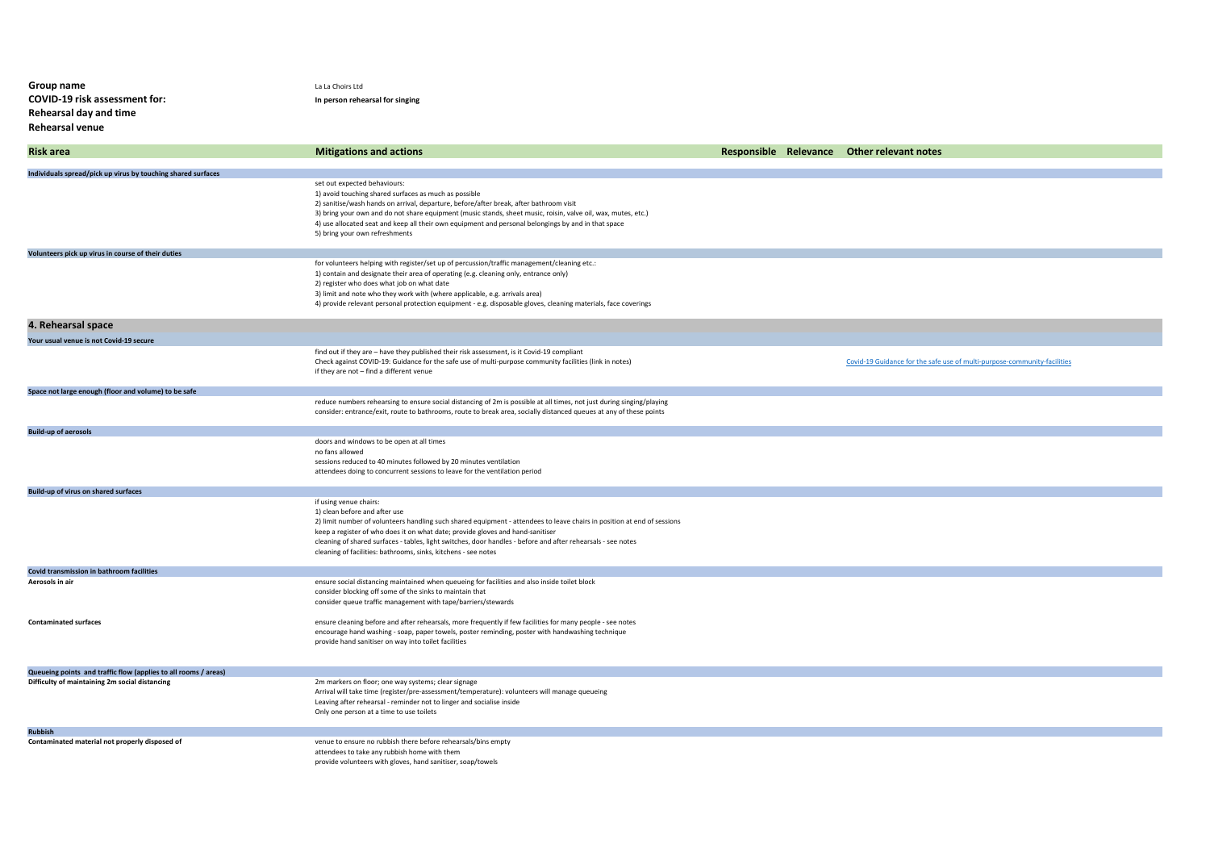| Group name<br>COVID-19 risk assessment for:<br>Rehearsal day and time<br>Rehearsal venue | La La Choirs Ltd<br>In person rehearsal for singing                                                                                                                                                                                                                                                                                                                                                                                                    |  |                                                                          |
|------------------------------------------------------------------------------------------|--------------------------------------------------------------------------------------------------------------------------------------------------------------------------------------------------------------------------------------------------------------------------------------------------------------------------------------------------------------------------------------------------------------------------------------------------------|--|--------------------------------------------------------------------------|
| <b>Risk area</b>                                                                         | <b>Mitigations and actions</b>                                                                                                                                                                                                                                                                                                                                                                                                                         |  | Responsible Relevance Other relevant notes                               |
| Individuals spread/pick up virus by touching shared surfaces                             |                                                                                                                                                                                                                                                                                                                                                                                                                                                        |  |                                                                          |
|                                                                                          | set out expected behaviours:<br>1) avoid touching shared surfaces as much as possible<br>2) sanitise/wash hands on arrival, departure, before/after break, after bathroom visit<br>3) bring your own and do not share equipment (music stands, sheet music, roisin, valve oil, wax, mutes, etc.)<br>4) use allocated seat and keep all their own equipment and personal belongings by and in that space<br>5) bring your own refreshments              |  |                                                                          |
| Volunteers pick up virus in course of their duties                                       |                                                                                                                                                                                                                                                                                                                                                                                                                                                        |  |                                                                          |
|                                                                                          | for volunteers helping with register/set up of percussion/traffic management/cleaning etc.:<br>1) contain and designate their area of operating (e.g. cleaning only, entrance only)<br>2) register who does what job on what date<br>3) limit and note who they work with (where applicable, e.g. arrivals area)<br>4) provide relevant personal protection equipment - e.g. disposable gloves, cleaning materials, face coverings                     |  |                                                                          |
| 4. Rehearsal space                                                                       |                                                                                                                                                                                                                                                                                                                                                                                                                                                        |  |                                                                          |
| Your usual venue is not Covid-19 secure                                                  |                                                                                                                                                                                                                                                                                                                                                                                                                                                        |  |                                                                          |
|                                                                                          | find out if they are - have they published their risk assessment, is it Covid-19 compliant<br>Check against COVID-19: Guidance for the safe use of multi-purpose community facilities (link in notes)<br>if they are not - find a different venue                                                                                                                                                                                                      |  | Covid-19 Guidance for the safe use of multi-purpose-community-facilities |
| Space not large enough (floor and volume) to be safe                                     |                                                                                                                                                                                                                                                                                                                                                                                                                                                        |  |                                                                          |
|                                                                                          | reduce numbers rehearsing to ensure social distancing of 2m is possible at all times, not just during singing/playing<br>consider: entrance/exit, route to bathrooms, route to break area, socially distanced queues at any of these points                                                                                                                                                                                                            |  |                                                                          |
| <b>Build-up of aerosols</b>                                                              |                                                                                                                                                                                                                                                                                                                                                                                                                                                        |  |                                                                          |
|                                                                                          | doors and windows to be open at all times<br>no fans allowed<br>sessions reduced to 40 minutes followed by 20 minutes ventilation<br>attendees doing to concurrent sessions to leave for the ventilation period                                                                                                                                                                                                                                        |  |                                                                          |
| Build-up of virus on shared surfaces                                                     |                                                                                                                                                                                                                                                                                                                                                                                                                                                        |  |                                                                          |
|                                                                                          | if using venue chairs:<br>1) clean before and after use<br>2) limit number of volunteers handling such shared equipment - attendees to leave chairs in position at end of sessions<br>keep a register of who does it on what date; provide gloves and hand-sanitiser<br>cleaning of shared surfaces - tables, light switches, door handles - before and after rehearsals - see notes<br>cleaning of facilities: bathrooms, sinks, kitchens - see notes |  |                                                                          |
| Covid transmission in bathroom facilities                                                |                                                                                                                                                                                                                                                                                                                                                                                                                                                        |  |                                                                          |
| Aerosols in air                                                                          | ensure social distancing maintained when queueing for facilities and also inside toilet block<br>consider blocking off some of the sinks to maintain that<br>consider queue traffic management with tape/barriers/stewards                                                                                                                                                                                                                             |  |                                                                          |
| <b>Contaminated surfaces</b>                                                             | ensure cleaning before and after rehearsals, more frequently if few facilities for many people - see notes<br>encourage hand washing - soap, paper towels, poster reminding, poster with handwashing technique<br>provide hand sanitiser on way into toilet facilities                                                                                                                                                                                 |  |                                                                          |
| Queueing points and traffic flow (applies to all rooms / areas)                          |                                                                                                                                                                                                                                                                                                                                                                                                                                                        |  |                                                                          |
| Difficulty of maintaining 2m social distancing                                           | 2m markers on floor; one way systems; clear signage<br>Arrival will take time (register/pre-assessment/temperature): volunteers will manage queueing<br>Leaving after rehearsal - reminder not to linger and socialise inside<br>Only one person at a time to use toilets                                                                                                                                                                              |  |                                                                          |
| <b>Rubbish</b>                                                                           |                                                                                                                                                                                                                                                                                                                                                                                                                                                        |  |                                                                          |
| Contaminated material not properly disposed of                                           | venue to ensure no rubbish there before rehearsals/bins empty<br>attendees to take any rubbish home with them<br>provide volunteers with gloves, hand sanitiser, soap/towels                                                                                                                                                                                                                                                                           |  |                                                                          |